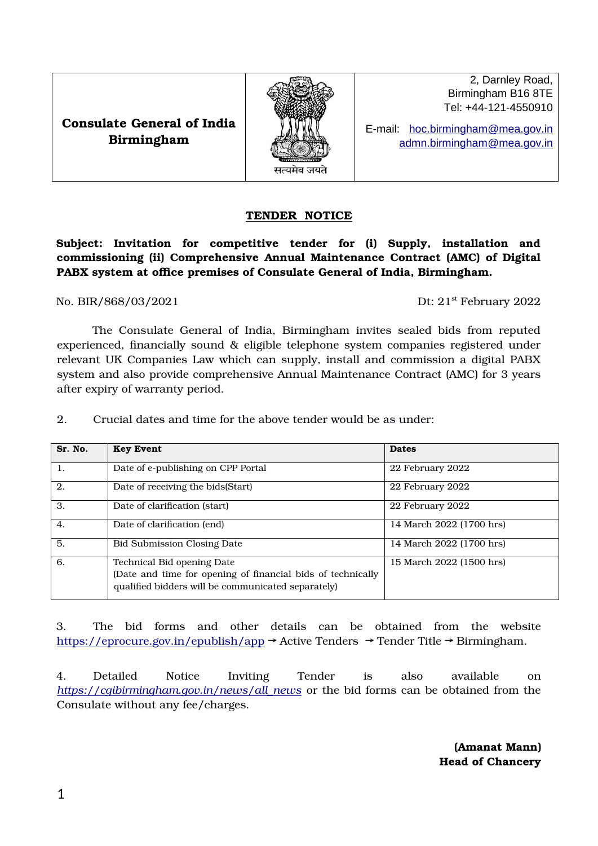

2, Darnley Road, Birmingham B16 8TE Tel: +44-121-4550910

E-mail: hoc.birmingham@mea.gov.in  [admn.birmingham @mea.gov.in](mailto:admn.birmingham@mea.gov.in)

## TENDER NOTICE

Subject: Invitation for competitive tender for (i) Supply, installation and commissioning (ii) Comprehensive Annual Maintenance Contract (AMC) of Digital PABX system at office premises of Consulate General of India, Birmingham.

No. BIR/868/03/2021 Dt: 21<sup>st</sup> February 2022

The Consulate General of India, Birmingham invites sealed bids from reputed experienced, financially sound & eligible telephone system companies registered under relevant UK Companies Law which can supply, install and commission a digital PABX system and also provide comprehensive Annual Maintenance Contract (AMC) for 3 years after expiry of warranty period.

2. Crucial dates and time for the above tender would be as under:

| Sr. No.          | <b>Key Event</b>                                                                                                                                | <b>Dates</b>             |  |  |
|------------------|-------------------------------------------------------------------------------------------------------------------------------------------------|--------------------------|--|--|
| -1.              | Date of e-publishing on CPP Portal                                                                                                              | 22 February 2022         |  |  |
| 2.               | Date of receiving the bids(Start)                                                                                                               | 22 February 2022         |  |  |
| 3.               | Date of clarification (start)                                                                                                                   | 22 February 2022         |  |  |
| $\overline{4}$ . | Date of clarification (end)                                                                                                                     | 14 March 2022 (1700 hrs) |  |  |
| 5.               | <b>Bid Submission Closing Date</b>                                                                                                              | 14 March 2022 (1700 hrs) |  |  |
| 6.               | Technical Bid opening Date<br>(Date and time for opening of financial bids of technically<br>qualified bidders will be communicated separately) | 15 March 2022 (1500 hrs) |  |  |

3. The bid forms and other details can be obtained from the website <https://eprocure.gov.in/epublish/app>→ Active Tenders → Tender Title → Birmingham.

4. Detailed Notice Inviting Tender is also available on *[https://cgibirmingham.gov.in/news/all\\_news](https://cgibirmingham.gov.in/news/all_news)* or the bid forms can be obtained from the Consulate without any fee/charges.

> (Amanat Mann) Head of Chancery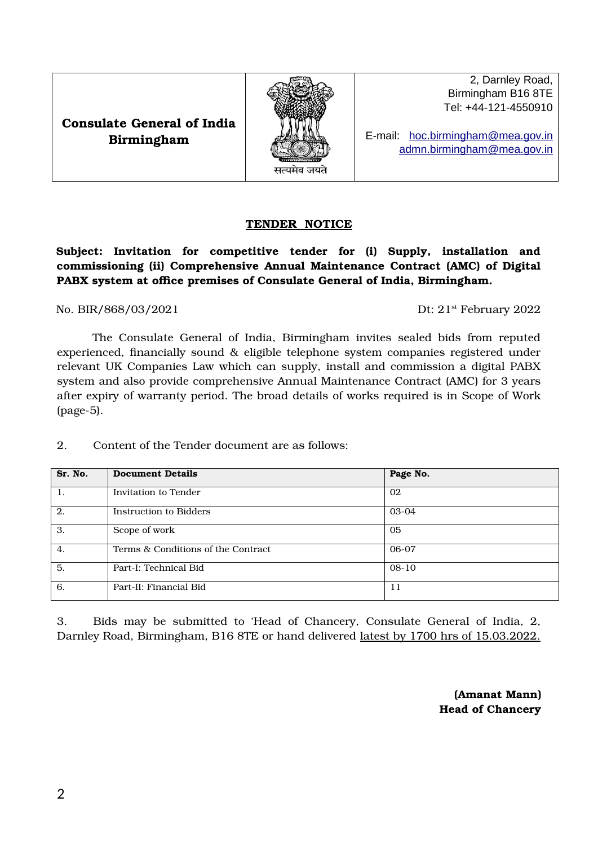Consulate General of India Birmingham

### TENDER NOTICE

## Subject: Invitation for competitive tender for (i) Supply, installation and commissioning (ii) Comprehensive Annual Maintenance Contract (AMC) of Digital PABX system at office premises of Consulate General of India, Birmingham.

No. BIR/868/03/2021 Dt: 21<sup>st</sup> February 2022

The Consulate General of India, Birmingham invites sealed bids from reputed experienced, financially sound & eligible telephone system companies registered under relevant UK Companies Law which can supply, install and commission a digital PABX system and also provide comprehensive Annual Maintenance Contract (AMC) for 3 years after expiry of warranty period. The broad details of works required is in Scope of Work (page-5).

2. Content of the Tender document are as follows:

Sr. No. Document Details Page No.

1. Invitation to Tender 02

3. Scope of work 05 4. Terms & Conditions of the Contract 06-07 5. Part-I: Technical Bid 08-10

6. Part-II: Financial Bid 11

2. Instruction to Bidders 03-04

| 3. |  | Bids may be submitted to 'Head of Chancery, Consulate General of India, 2,            |  |  |  |  |
|----|--|---------------------------------------------------------------------------------------|--|--|--|--|
|    |  | Darnley Road, Birmingham, B16 8TE or hand delivered latest by 1700 hrs of 15.03.2022. |  |  |  |  |

(Amanat Mann) Head of Chancery

2, Darnley Road, Birmingham B16 8TE Tel: +44-121-4550910

E-mail: [hoc. birmingham @mea.gov.in](mailto:hoc.hongkong@mea.gov.in)  [admn.birmingham @mea.gov.in](mailto:admn.birmingham@mea.gov.in)

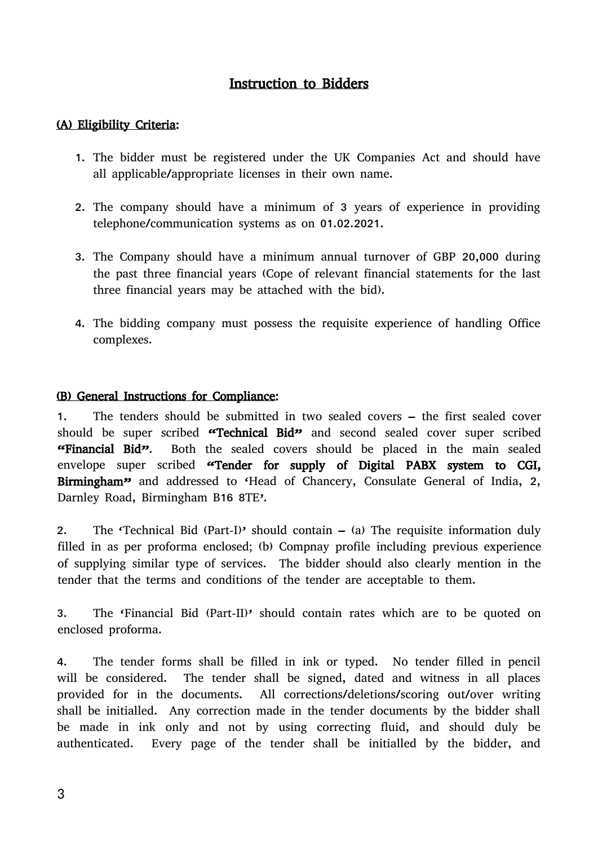## Instruction to Bidders

## (A) Eligibility Criteria:

- 1. The bidder must be registered under the UK Companies Act and should have all applicable/appropriate licenses in their own name.
- 2. The company should have a minimum of 3 years of experience in providing telephone/communication systems as on 01.02.2021.
- 3. The Company should have a minimum annual turnover of GBP 20,000 during the past three financial years (Cope of relevant financial statements for the last three financial years may be attached with the bid).
- 4. The bidding company must possess the requisite experience of handling Office complexes.

## (B) General Instructions for Compliance:

1. The tenders should be submitted in two sealed covers – the first sealed cover should be super scribed "Technical Bid" and second sealed cover super scribed "Financial Bid". Both the sealed covers should be placed in the main sealed envelope super scribed "Tender for supply of Digital PABX system to CGI, Birmingham" and addressed to 'Head of Chancery, Consulate General of India, 2, Darnley Road, Birmingham B16 8TE'.

2. The 'Technical Bid (Part-I)' should contain – (a) The requisite information duly filled in as per proforma enclosed; (b) Compnay profile including previous experience of supplying similar type of services. The bidder should also clearly mention in the tender that the terms and conditions of the tender are acceptable to them.

3. The 'Financial Bid (Part-II)' should contain rates which are to be quoted on enclosed proforma.

4. The tender forms shall be filled in ink or typed. No tender filled in pencil will be considered. The tender shall be signed, dated and witness in all places provided for in the documents. All corrections/deletions/scoring out/over writing shall be initialled. Any correction made in the tender documents by the bidder shall be made in ink only and not by using correcting fluid, and should duly be authenticated. Every page of the tender shall be initialled by the bidder, and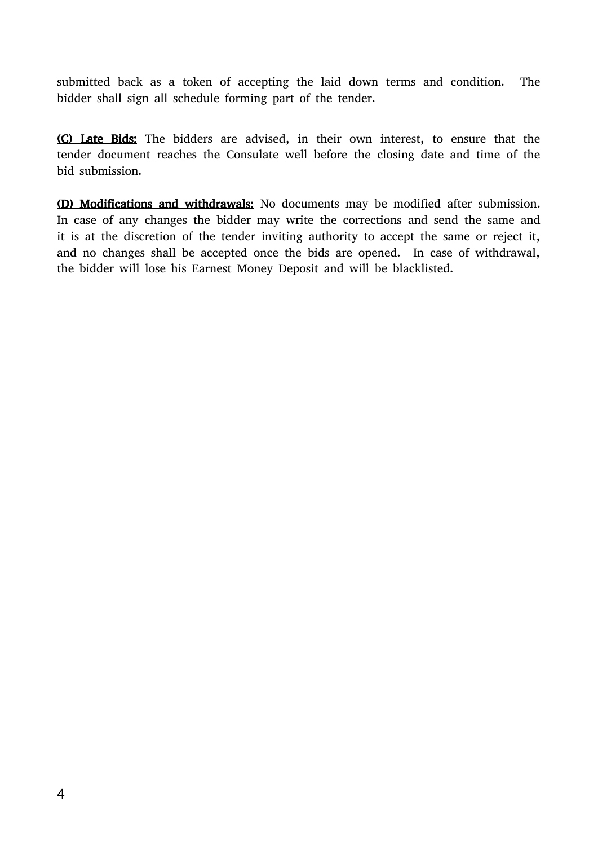submitted back as a token of accepting the laid down terms and condition. The bidder shall sign all schedule forming part of the tender.

(C) Late Bids: The bidders are advised, in their own interest, to ensure that the tender document reaches the Consulate well before the closing date and time of the bid submission.

(D) Modifications and withdrawals: No documents may be modified after submission. In case of any changes the bidder may write the corrections and send the same and it is at the discretion of the tender inviting authority to accept the same or reject it, and no changes shall be accepted once the bids are opened. In case of withdrawal, the bidder will lose his Earnest Money Deposit and will be blacklisted.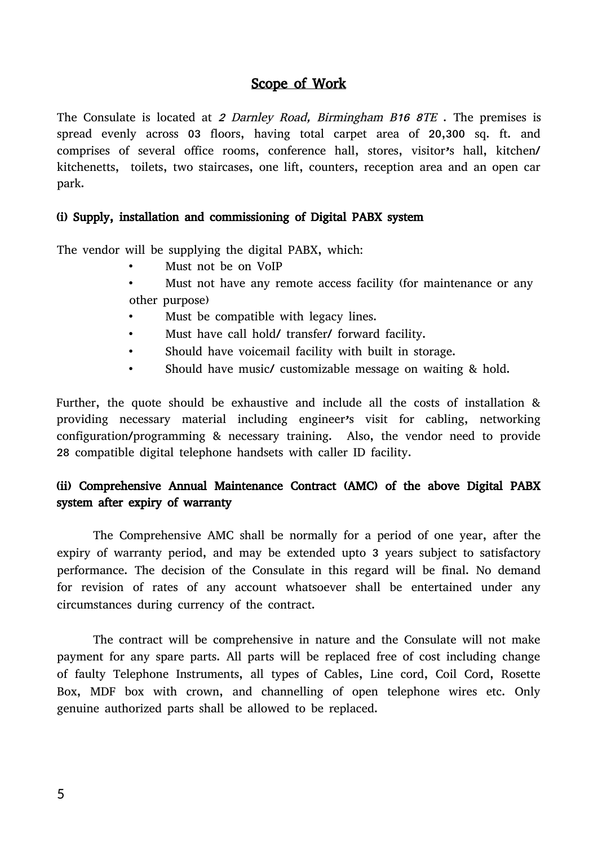## Scope of Work

The Consulate is located at 2 Darnley Road, Birmingham B16 8TE. The premises is spread evenly across 03 floors, having total carpet area of 20,300 sq. ft. and comprises of several office rooms, conference hall, stores, visitor's hall, kitchen/ kitchenetts, toilets, two staircases, one lift, counters, reception area and an open car park.

## (i) Supply, installation and commissioning of Digital PABX system

The vendor will be supplying the digital PABX, which:

- Must not be on VoIP
- Must not have any remote access facility (for maintenance or any other purpose)
- Must be compatible with legacy lines.
- Must have call hold/ transfer/ forward facility.
- Should have voicemail facility with built in storage.
- Should have music/ customizable message on waiting & hold.

Further, the quote should be exhaustive and include all the costs of installation & providing necessary material including engineer's visit for cabling, networking configuration/programming & necessary training. Also, the vendor need to provide 28 compatible digital telephone handsets with caller ID facility.

## (ii) Comprehensive Annual Maintenance Contract (AMC) of the above Digital PABX system after expiry of warranty

The Comprehensive AMC shall be normally for a period of one year, after the expiry of warranty period, and may be extended upto 3 years subject to satisfactory performance. The decision of the Consulate in this regard will be final. No demand for revision of rates of any account whatsoever shall be entertained under any circumstances during currency of the contract.

The contract will be comprehensive in nature and the Consulate will not make payment for any spare parts. All parts will be replaced free of cost including change of faulty Telephone Instruments, all types of Cables, Line cord, Coil Cord, Rosette Box, MDF box with crown, and channelling of open telephone wires etc. Only genuine authorized parts shall be allowed to be replaced.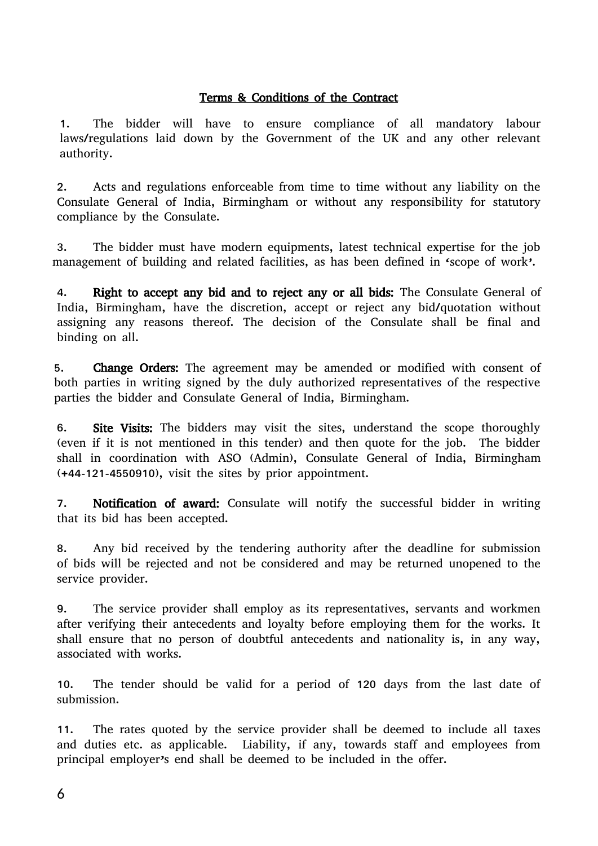## Terms & Conditions of the Contract

1. The bidder will have to ensure compliance of all mandatory labour laws/regulations laid down by the Government of the UK and any other relevant authority.

2. Acts and regulations enforceable from time to time without any liability on the Consulate General of India, Birmingham or without any responsibility for statutory compliance by the Consulate.

3. The bidder must have modern equipments, latest technical expertise for the job management of building and related facilities, as has been defined in 'scope of work'.

4. Right to accept any bid and to reject any or all bids: The Consulate General of India, Birmingham, have the discretion, accept or reject any bid/quotation without assigning any reasons thereof. The decision of the Consulate shall be final and binding on all.

5. Change Orders: The agreement may be amended or modified with consent of both parties in writing signed by the duly authorized representatives of the respective parties the bidder and Consulate General of India, Birmingham.

6. Site Visits: The bidders may visit the sites, understand the scope thoroughly (even if it is not mentioned in this tender) and then quote for the job. The bidder shall in coordination with ASO (Admin), Consulate General of India, Birmingham (+44-121-4550910), visit the sites by prior appointment.

7. Notification of award: Consulate will notify the successful bidder in writing that its bid has been accepted.

8. Any bid received by the tendering authority after the deadline for submission of bids will be rejected and not be considered and may be returned unopened to the service provider.

9. The service provider shall employ as its representatives, servants and workmen after verifying their antecedents and loyalty before employing them for the works. It shall ensure that no person of doubtful antecedents and nationality is, in any way, associated with works.

10. The tender should be valid for a period of 120 days from the last date of submission.

11. The rates quoted by the service provider shall be deemed to include all taxes and duties etc. as applicable. Liability, if any, towards staff and employees from principal employer's end shall be deemed to be included in the offer.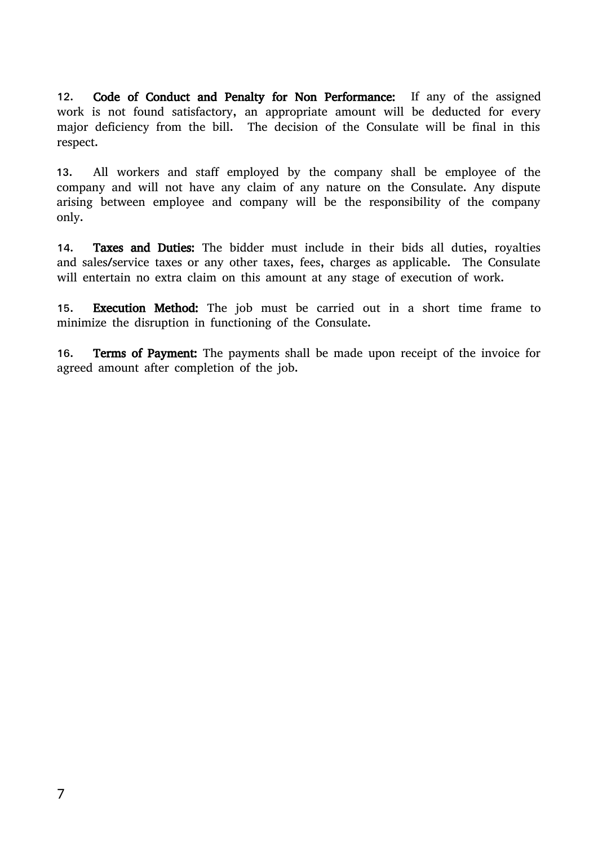12. Code of Conduct and Penalty for Non Performance: If any of the assigned work is not found satisfactory, an appropriate amount will be deducted for every major deficiency from the bill. The decision of the Consulate will be final in this respect.

13. All workers and staff employed by the company shall be employee of the company and will not have any claim of any nature on the Consulate. Any dispute arising between employee and company will be the responsibility of the company only.

14. Taxes and Duties: The bidder must include in their bids all duties, royalties and sales/service taxes or any other taxes, fees, charges as applicable. The Consulate will entertain no extra claim on this amount at any stage of execution of work.

15. Execution Method: The job must be carried out in a short time frame to minimize the disruption in functioning of the Consulate.

16. Terms of Payment: The payments shall be made upon receipt of the invoice for agreed amount after completion of the job.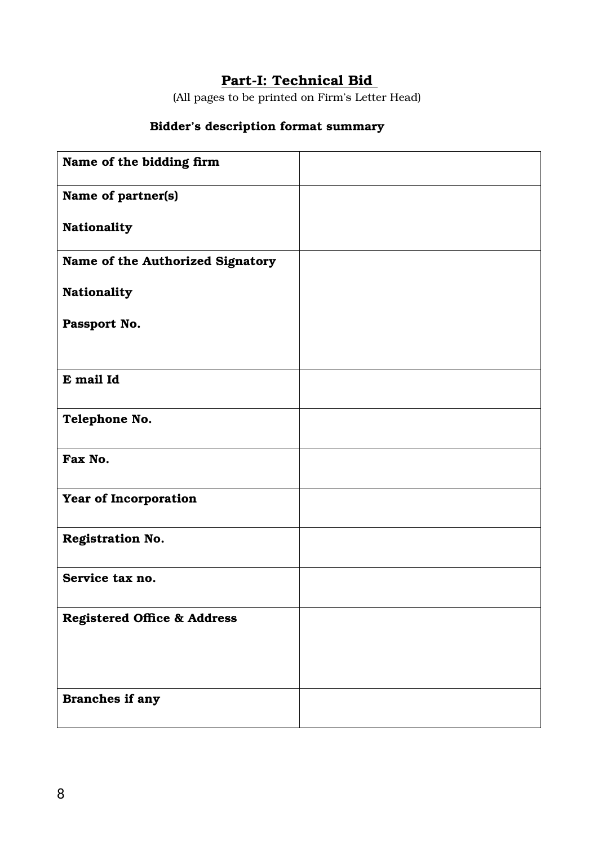# Part-I: Technical Bid

(All pages to be printed on Firm's Letter Head)

# Bidder's description format summary

| Name of the bidding firm               |  |
|----------------------------------------|--|
| Name of partner(s)                     |  |
| Nationality                            |  |
| Name of the Authorized Signatory       |  |
| <b>Nationality</b>                     |  |
| Passport No.                           |  |
| E mail Id                              |  |
| Telephone No.                          |  |
| Fax No.                                |  |
| Year of Incorporation                  |  |
| <b>Registration No.</b>                |  |
| Service tax no.                        |  |
| <b>Registered Office &amp; Address</b> |  |
| Branches if any                        |  |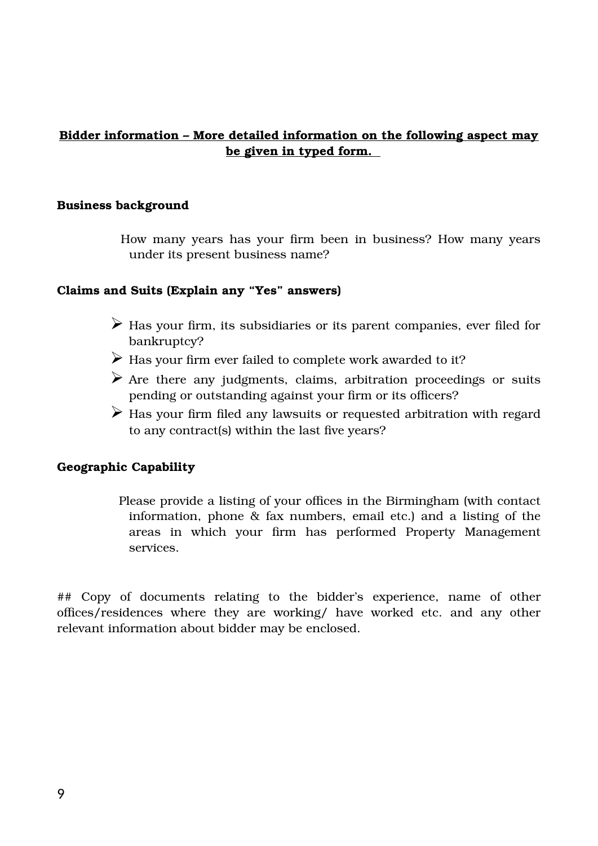## Bidder information – More detailed information on the following aspect may be given in typed form.

### Business background

How many years has your firm been in business? How many years under its present business name?

## Claims and Suits (Explain any "Yes" answers)

- $\triangleright$  Has your firm, its subsidiaries or its parent companies, ever filed for bankruptcy?
- $\triangleright$  Has your firm ever failed to complete work awarded to it?
- $\triangleright$  Are there any judgments, claims, arbitration proceedings or suits pending or outstanding against your firm or its officers?
- $\triangleright$  Has your firm filed any lawsuits or requested arbitration with regard to any contract(s) within the last five years?

## Geographic Capability

Please provide a listing of your offices in the Birmingham (with contact information, phone & fax numbers, email etc.) and a listing of the areas in which your firm has performed Property Management services.

## Copy of documents relating to the bidder's experience, name of other offices/residences where they are working/ have worked etc. and any other relevant information about bidder may be enclosed.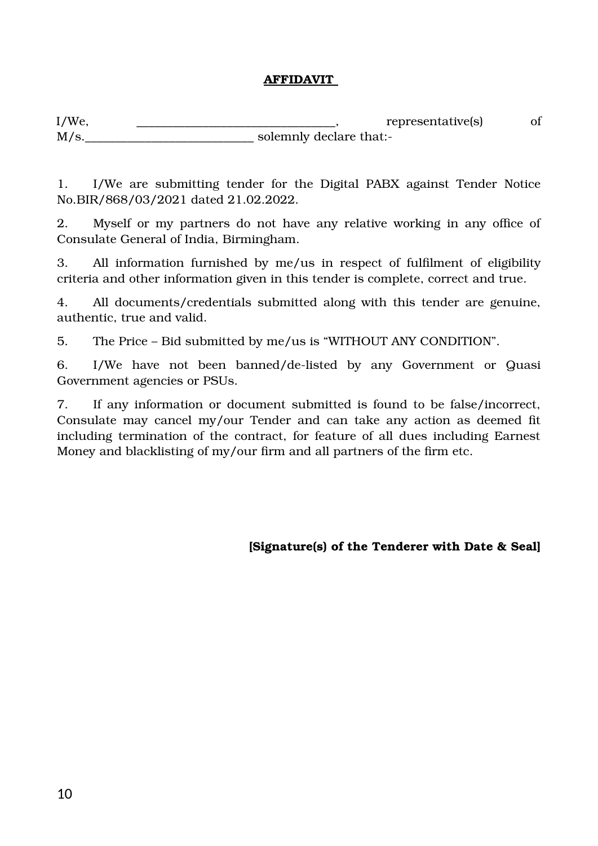## AFFIDAVIT

I/We,  $\qquad \qquad \text{representative(s)}$  of M/s. Solemnly declare that:-

1. I/We are submitting tender for the Digital PABX against Tender Notice No.BIR/868/03/2021 dated 21.02.2022.

2. Myself or my partners do not have any relative working in any office of Consulate General of India, Birmingham.

3. All information furnished by me/us in respect of fulfilment of eligibility criteria and other information given in this tender is complete, correct and true.

4. All documents/credentials submitted along with this tender are genuine, authentic, true and valid.

5. The Price – Bid submitted by me/us is "WITHOUT ANY CONDITION".

6. I/We have not been banned/de-listed by any Government or Quasi Government agencies or PSUs.

7. If any information or document submitted is found to be false/incorrect, Consulate may cancel my/our Tender and can take any action as deemed fit including termination of the contract, for feature of all dues including Earnest Money and blacklisting of my/our firm and all partners of the firm etc.

[Signature(s) of the Tenderer with Date & Seal]